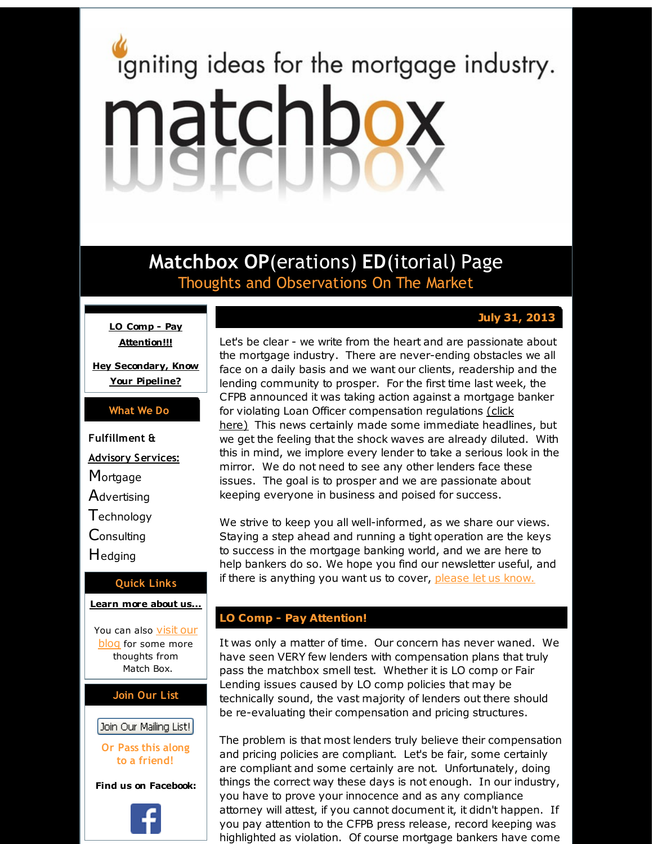# <span id="page-0-0"></span>igniting ideas for the mortgage industry. matchbox

**Matchbox OP**(erations) **ED**(itorial) Page Thoughts and Observations On The Market

# **July 31, 2013**

**LO Comp - Pay [Attention!!!](#page-0-0)**

**Hey [Secondary,](#page-0-0) Know Your Pipeline?**

## **What We Do**

**Fulfillment & Advisory Services: Mortgage Advertising T**echnology

**Consulting** 

**Hedging** 

## **Quick Links**

#### **[Learn](http://r20.rs6.net/tn.jsp?f=001z1sJhkF40lu2wlE3d7euhU73YJ-QonOiQCSvRQoWst26x7u0lGRSdfIQtnl6l2WN-kIb-syMZaglidQXo9LFz6pzoRadByOuwLtP1fWFRzcJcgIS-fxVtQwv4Nl7MdFhUs3acnuJ6xENzXiuy-7FCAFlcdwbWy_ZHq0nA37TgHOfFXizRmPXuw==&c=&ch=) more about u[s...](http://r20.rs6.net/tn.jsp?f=001z1sJhkF40lu2wlE3d7euhU73YJ-QonOiQCSvRQoWst26x7u0lGRSdfIQtnl6l2WN-kIb-syMZaglidQXo9LFz6pzoRadByOuwLtP1fWFRzcJcgIS-fxVtQwv4Nl7MdFhUs3acnuJ6xENzXiuy-7FCAFlcdwbWy_ZHq0nA37TgHOfFXizRmPXuw==&c=&ch=)**

You can also [visit](http://r20.rs6.net/tn.jsp?f=001z1sJhkF40lu2wlE3d7euhU73YJ-QonOiQCSvRQoWst26x7u0lGRSdRC2nO5egbQqHTpuXFyWXR-DpZ6-p8Rys0Acwb6QDduAskpxW_F2lux5pmZR-rUp66Z9mC3fG0nd-d-lhRT3SSRVIzgqKxra0B05PTOjPof17bk3aCwmTCPdqwU2kEN17qNhK8gQ3BAH&c=&ch=) our blog for some more thoughts from Match Box.

## **Join Our List**

# Join Our Mailing List!

**Or Pass this along to a friend!**

**Find us on Facebook:**



Let's be clear - we write from the heart and are passionate about the mortgage industry. There are never-ending obstacles we all face on a daily basis and we want our clients, readership and the lending community to prosper. For the first time last week, the CFPB announced it was taking action against a mortgage banker for violating Loan Officer [compensation](http://r20.rs6.net/tn.jsp?f=001z1sJhkF40lu2wlE3d7euhU73YJ-QonOiQCSvRQoWst26x7u0lGRSda65xgr9NKQAGQwgs5Q6vJ8AC0HIeTE8UtW42P4bANZSC75QR90csM61U93ANWE332qlKUFwnEcXIjo_gRA_GNABwqxujXPnABS2nP2xoH4msN5mc4xvpZpD3oAscf7j8Bd76svVVxyd3B5YcVJC5HzZtUsSsVVJ1o05IkpTUcfirzDsx_Qa5e7pQXqs74lHOPROenFP4Bf5np4qQSVxvaaYrxV0voseX-LOpZOC6Ke9AZ6OvVt_jJqMpu94_E1FObSVgSih2Umt7hB8GLZX72F51bdZVxBXbg==&c=&ch=) regulations (click here) This news certainly made some immediate headlines, but we get the feeling that the shock waves are already diluted. With this in mind, we implore every lender to take a serious look in the mirror. We do not need to see any other lenders face these issues. The goal is to prosper and we are passionate about keeping everyone in business and poised for success.

We strive to keep you all well-informed, as we share our views. Staying a step ahead and running a tight operation are the keys to success in the mortgage banking world, and we are here to help bankers do so. We hope you find our newsletter useful, and if there is anything you want us to cover, [please](http://r20.rs6.net/tn.jsp?f=001z1sJhkF40lu2wlE3d7euhU73YJ-QonOiQCSvRQoWst26x7u0lGRSdRC2nO5egbQqHPz_Yk4XA6yBEvgI9eqPcc6uutbJNSXZw7S_zQj5f-k9l6tXUnkNabDScMJTmTPFATHcDIdm2auc1XjeY1xOYvKuRkAD0-dqGJAX3qcjhXCiLXPmSObD9yNX74ga-k8r&c=&ch=) let us know.

## **LO Comp - Pay Attention!**

It was only a matter of time. Our concern has never waned. We have seen VERY few lenders with compensation plans that truly pass the matchbox smell test. Whether it is LO comp or Fair Lending issues caused by LO comp policies that may be technically sound, the vast majority of lenders out there should be re-evaluating their compensation and pricing structures.

The problem is that most lenders truly believe their compensation and pricing policies are compliant. Let's be fair, some certainly are compliant and some certainly are not. Unfortunately, doing things the correct way these days is not enough. In our industry, you have to prove your innocence and as any compliance attorney will attest, if you cannot document it, it didn't happen. If you pay attention to the CFPB press release, record keeping was highlighted as violation. Of course mortgage bankers have come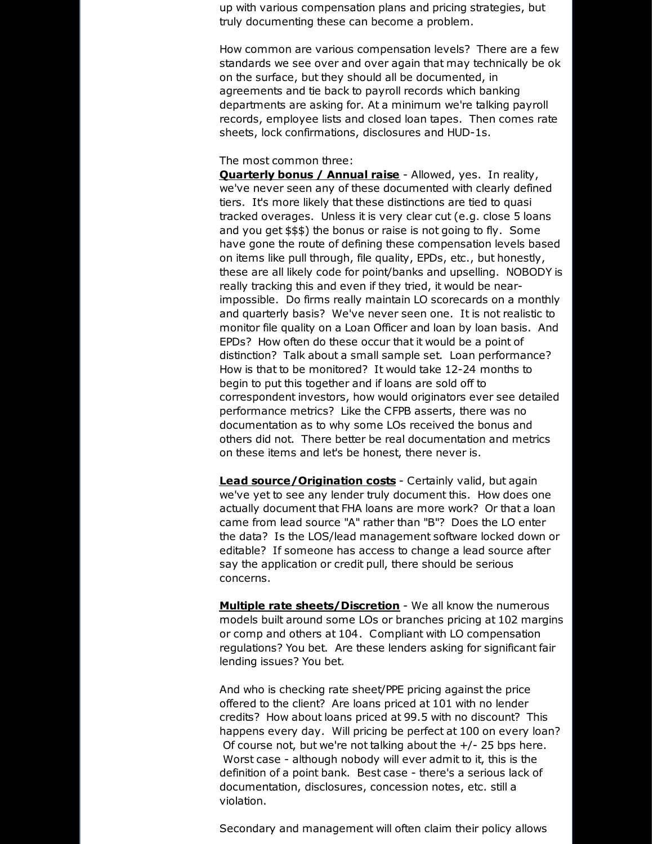up with various compensation plans and pricing strategies, but truly documenting these can become a problem.

How common are various compensation levels? There are a few standards we see over and over again that may technically be ok on the surface, but they should all be documented, in agreements and tie back to payroll records which banking departments are asking for. At a minimum we're talking payroll records, employee lists and closed loan tapes. Then comes rate sheets, lock confirmations, disclosures and HUD-1s.

#### The most common three:

**Quarterly bonus / Annual raise** - Allowed, yes. In reality, we've never seen any of these documented with clearly defined tiers. It's more likely that these distinctions are tied to quasi tracked overages. Unless it is very clear cut (e.g. close 5 loans and you get \$\$\$) the bonus or raise is not going to fly. Some have gone the route of defining these compensation levels based on items like pull through, file quality, EPDs, etc., but honestly, these are all likely code for point/banks and upselling. NOBODY is really tracking this and even if they tried, it would be nearimpossible. Do firms really maintain LO scorecards on a monthly and quarterly basis? We've never seen one. It is not realistic to monitor file quality on a Loan Officer and loan by loan basis. And EPDs? How often do these occur that it would be a point of distinction? Talk about a small sample set. Loan performance? How is that to be monitored? It would take 12-24 months to begin to put this together and if loans are sold off to correspondent investors, how would originators ever see detailed performance metrics? Like the CFPB asserts, there was no documentation as to why some LOs received the bonus and others did not. There better be real documentation and metrics on these items and let's be honest, there never is.

**Lead source/Origination costs** - Certainly valid, but again we've yet to see any lender truly document this. How does one actually document that FHA loans are more work? Or that a loan came from lead source "A" rather than "B"? Does the LO enter the data? Is the LOS/lead management software locked down or editable? If someone has access to change a lead source after say the application or credit pull, there should be serious concerns.

**Multiple rate sheets/Discretion** - We all know the numerous models built around some LOs or branches pricing at 102 margins or comp and others at 104. Compliant with LO compensation regulations? You bet. Are these lenders asking for significant fair lending issues? You bet.

And who is checking rate sheet/PPE pricing against the price offered to the client? Are loans priced at 101 with no lender credits? How about loans priced at 99.5 with no discount? This happens every day. Will pricing be perfect at 100 on every loan? Of course not, but we're not talking about the +/- 25 bps here. Worst case - although nobody will ever admit to it, this is the definition of a point bank. Best case - there's a serious lack of documentation, disclosures, concession notes, etc. still a violation.

Secondary and management will often claim their policy allows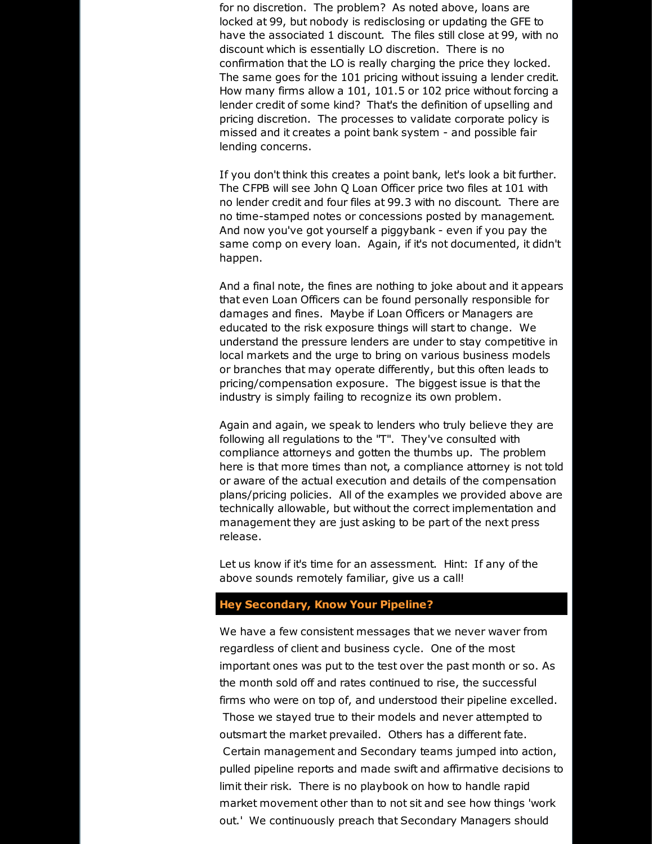for no discretion. The problem? As noted above, loans are locked at 99, but nobody is redisclosing or updating the GFE to have the associated 1 discount. The files still close at 99, with no discount which is essentially LO discretion. There is no confirmation that the LO is really charging the price they locked. The same goes for the 101 pricing without issuing a lender credit. How many firms allow a 101, 101.5 or 102 price without forcing a lender credit of some kind? That's the definition of upselling and pricing discretion. The processes to validate corporate policy is missed and it creates a point bank system - and possible fair lending concerns.

If you don't think this creates a point bank, let's look a bit further. The CFPB will see John Q Loan Officer price two files at 101 with no lender credit and four files at 99.3 with no discount. There are no time-stamped notes or concessions posted by management. And now you've got yourself a piggybank - even if you pay the same comp on every loan. Again, if it's not documented, it didn't happen.

And a final note, the fines are nothing to joke about and it appears that even Loan Officers can be found personally responsible for damages and fines. Maybe if Loan Officers or Managers are educated to the risk exposure things will start to change. We understand the pressure lenders are under to stay competitive in local markets and the urge to bring on various business models or branches that may operate differently, but this often leads to pricing/compensation exposure. The biggest issue is that the industry is simply failing to recognize its own problem.

Again and again, we speak to lenders who truly believe they are following all regulations to the "T". They've consulted with compliance attorneys and gotten the thumbs up. The problem here is that more times than not, a compliance attorney is not told or aware of the actual execution and details of the compensation plans/pricing policies. All of the examples we provided above are technically allowable, but without the correct implementation and management they are just asking to be part of the next press release.

Let us know if it's time for an assessment. Hint: If any of the above sounds remotely familiar, give us a call!

## **Hey Secondary, Know Your Pipeline?**

We have a few consistent messages that we never waver from regardless of client and business cycle. One of the most important ones was put to the test over the past month or so. As the month sold off and rates continued to rise, the successful firms who were on top of, and understood their pipeline excelled. Those we stayed true to their models and never attempted to outsmart the market prevailed. Others has a different fate. Certain management and Secondary teams jumped into action, pulled pipeline reports and made swift and affirmative decisions to limit their risk. There is no playbook on how to handle rapid market movement other than to not sit and see how things 'work out.' We continuously preach that Secondary Managers should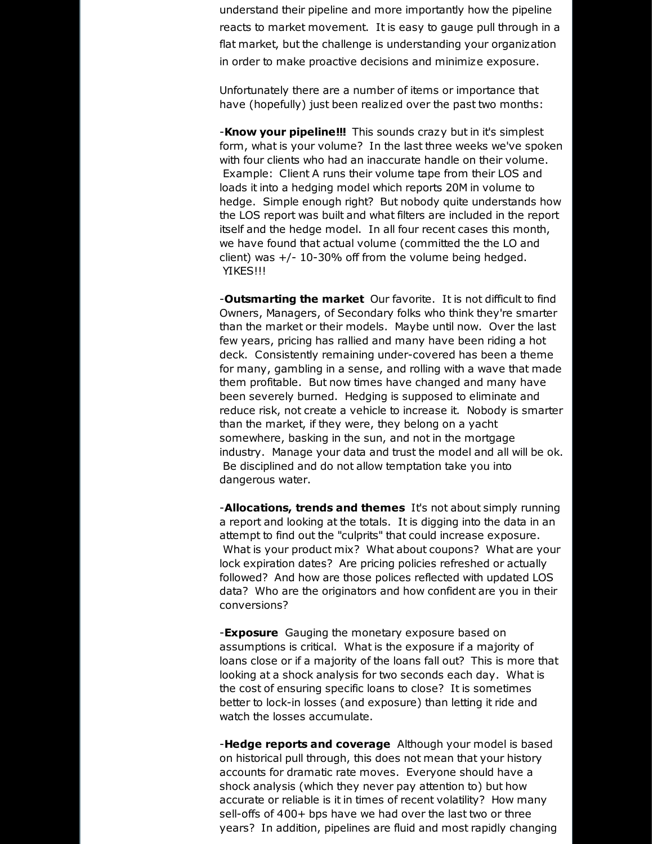understand their pipeline and more importantly how the pipeline reacts to market movement. It is easy to gauge pull through in a flat market, but the challenge is understanding your organization in order to make proactive decisions and minimize exposure.

Unfortunately there are a number of items or importance that have (hopefully) just been realized over the past two months:

-**Know your pipeline!!!** This sounds crazy but in it's simplest form, what is your volume? In the last three weeks we've spoken with four clients who had an inaccurate handle on their volume. Example: Client A runs their volume tape from their LOS and loads it into a hedging model which reports 20M in volume to hedge. Simple enough right? But nobody quite understands how the LOS report was built and what filters are included in the report itself and the hedge model. In all four recent cases this month, we have found that actual volume (committed the the LO and client) was  $+/- 10-30\%$  off from the volume being hedged. YIKES!!!

-**Outsmarting the market** Our favorite. It is not difficult to find Owners, Managers, of Secondary folks who think they're smarter than the market or their models. Maybe until now. Over the last few years, pricing has rallied and many have been riding a hot deck. Consistently remaining under-covered has been a theme for many, gambling in a sense, and rolling with a wave that made them profitable. But now times have changed and many have been severely burned. Hedging is supposed to eliminate and reduce risk, not create a vehicle to increase it. Nobody is smarter than the market, if they were, they belong on a yacht somewhere, basking in the sun, and not in the mortgage industry. Manage your data and trust the model and all will be ok. Be disciplined and do not allow temptation take you into dangerous water.

-**Allocations, trends and themes** It's not about simply running a report and looking at the totals. It is digging into the data in an attempt to find out the "culprits" that could increase exposure. What is your product mix? What about coupons? What are your lock expiration dates? Are pricing policies refreshed or actually followed? And how are those polices reflected with updated LOS data? Who are the originators and how confident are you in their conversions?

-**Exposure** Gauging the monetary exposure based on assumptions is critical. What is the exposure if a majority of loans close or if a majority of the loans fall out? This is more that looking at a shock analysis for two seconds each day. What is the cost of ensuring specific loans to close? It is sometimes better to lock-in losses (and exposure) than letting it ride and watch the losses accumulate.

-**Hedge reports and coverage** Although your model is based on historical pull through, this does not mean that your history accounts for dramatic rate moves. Everyone should have a shock analysis (which they never pay attention to) but how accurate or reliable is it in times of recent volatility? How many sell-offs of 400+ bps have we had over the last two or three years? In addition, pipelines are fluid and most rapidly changing